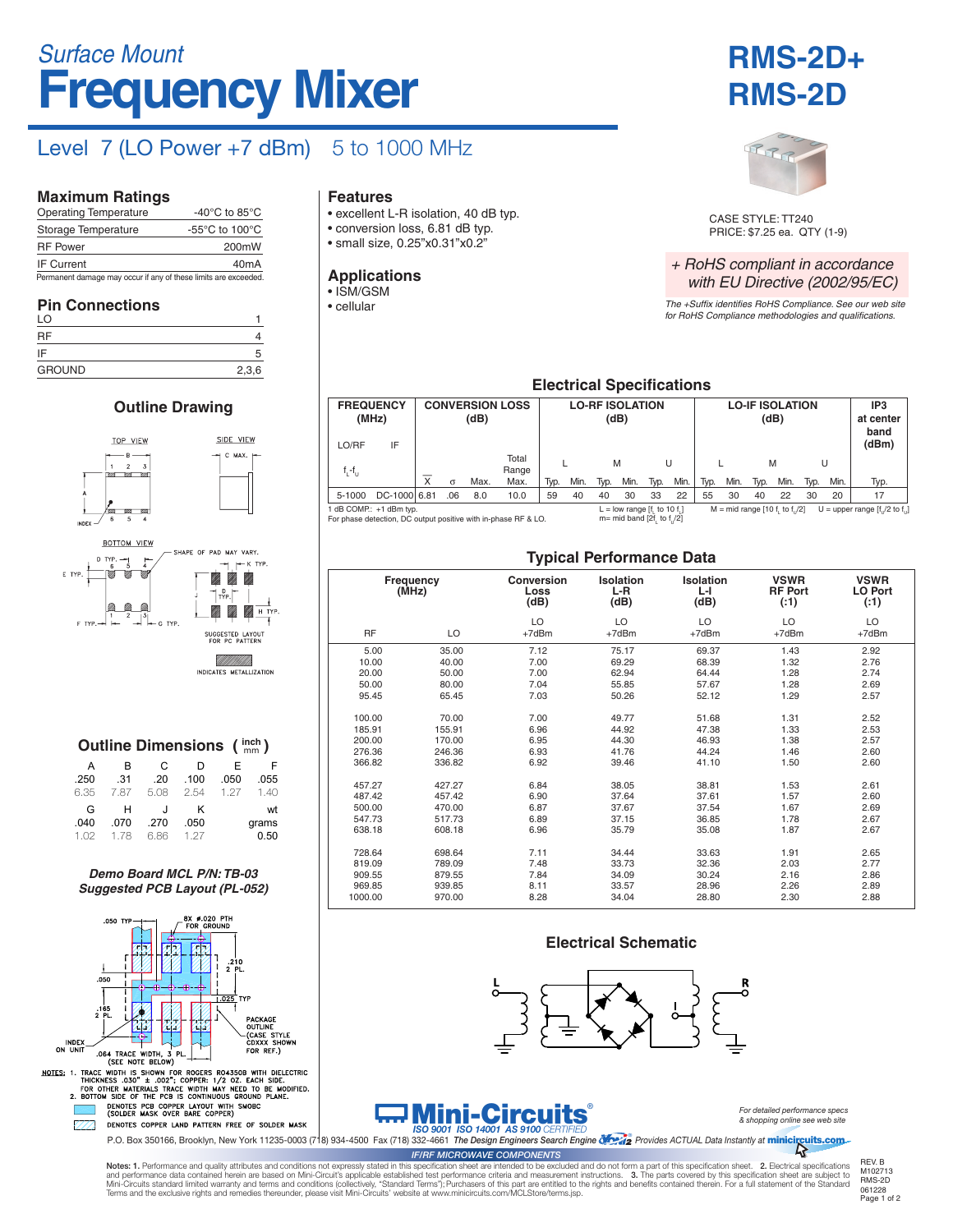# **Frequency Mixer** *Surface Mount*

## Level  $7$  (LO Power +7 dBm)  $5$  to 1000 MHz

#### **Maximum Ratings**

| <b>Operating Temperature</b>                                    | -40 $^{\circ}$ C to 85 $^{\circ}$ C                  |  |  |  |  |  |
|-----------------------------------------------------------------|------------------------------------------------------|--|--|--|--|--|
| Storage Temperature                                             | -55 $\mathrm{^{\circ}C}$ to 100 $\mathrm{^{\circ}C}$ |  |  |  |  |  |
| <b>RF</b> Power                                                 | 200mW                                                |  |  |  |  |  |
| <b>IF Current</b>                                               | 40 <sub>m</sub> A                                    |  |  |  |  |  |
| Permanent damage may occur if any of these limits are exceeded. |                                                      |  |  |  |  |  |

#### **Pin Connections**

| LO            |       |
|---------------|-------|
| RF            |       |
| IF            |       |
| <b>GROUND</b> | 2,3,6 |

### **Outline Drawing**



**METALLIZATION** 

|       |      |      | <b>Outline Dimensions (inch)</b> |      |      |
|-------|------|------|----------------------------------|------|------|
|       | F    | D    | C.                               | B    | A    |
| .055  | .050 | .100 | .20                              | .31  | .250 |
| 1.40  | 1.27 | 2.54 | 5.08                             | 7.87 | 6.35 |
| wt    |      | ĸ    | $\cdot$                          | н    | G    |
| grams |      | .050 | .270                             | .070 | .040 |
| 0.50  |      | 1 27 | 6.86                             | 1 78 | 1.02 |

*Demo Board MCL P/N: TB-03 Suggested PCB Layout (PL-052)*



ENOTE THE MULTATION TREE OF SOLLA MAN.<br>P.O. Box 350166, Brooklyn, New York 11235-0003 (718) 934-4500 Fax (718) 332-4661 The Design Engineers Search Engine (1994) Provides ACTUAL Data Instantly at minicircuits.com

#### **Features**

- excellent L-R isolation, 40 dB typ.
- conversion loss, 6.81 dB typ.
- small size, 0.25"x0.31"x0.2"

#### **Applications**

- ISM/GSM
- cellular





CASE STYLE: TT240 PRICE: \$7.25 ea. QTY (1-9)

#### *+ RoHS compliant in accordance with EU Directive (2002/95/EC)*

*The +Suffix identifies RoHS Compliance. See our web site for RoHS Compliance methodologies and qualifications.*

### **Electrical Specifications**

| <b>FREQUENCY</b> | (MHz)                                                                                     |                         |          | (dB) | <b>CONVERSION LOSS</b> |      |      |      | <b>LO-RF ISOLATION</b><br>(dB)                                   |      |      | <b>LO-IF ISOLATION</b><br>(dB) |      |      |                                 |      | IP <sub>3</sub><br>at center<br>band |                                  |
|------------------|-------------------------------------------------------------------------------------------|-------------------------|----------|------|------------------------|------|------|------|------------------------------------------------------------------|------|------|--------------------------------|------|------|---------------------------------|------|--------------------------------------|----------------------------------|
| LO/RF            | IF                                                                                        |                         |          |      |                        |      |      |      |                                                                  |      |      |                                |      |      |                                 |      |                                      | (dBm)                            |
| $f_i - f_{i,j}$  |                                                                                           |                         |          |      | Total<br>Range         |      |      | M    |                                                                  |      | U    |                                |      | M    |                                 | U    |                                      |                                  |
|                  |                                                                                           | $\overline{\mathsf{x}}$ | $\sigma$ | Max. | Max.                   | Typ. | Min. | Typ. | Min.                                                             | Typ. | Min. | Typ.                           | Min. | Typ. | Min.                            | Typ. | Min.                                 | Typ.                             |
| 5-1000           | DC-1000 6.81                                                                              |                         | .06      | 8.0  | 10.0                   | 59   | 40   | 40   | 30                                                               | 33   | 22   | 55                             | 30   | 40   | 22                              | 30   | 20                                   | 17                               |
|                  | 1 dB COMP.: +1 dBm typ.<br>For phase detection, DC output positive with in-phase RF & LO. |                         |          |      |                        |      |      |      | $L =$ low range [f, to 10 f,]<br>$m=$ mid band [2f, to f, $/2$ ] |      |      |                                |      |      | $M = mid range [10 f, to f]/2]$ |      |                                      | U = upper range $[f]/2$ to $f$ . |

### **Typical Performance Data**

|           |                    | . .                               |                                 |                               |                                       |                                      |  |
|-----------|--------------------|-----------------------------------|---------------------------------|-------------------------------|---------------------------------------|--------------------------------------|--|
|           | Frequency<br>(MHz) | <b>Conversion</b><br>Loss<br>(dB) | <b>Isolation</b><br>L-R<br>(dB) | <b>Isolation</b><br>ы<br>(dB) | <b>VSWR</b><br><b>RF Port</b><br>(:1) | <b>VSWR</b><br><b>LO Port</b><br>(1) |  |
| <b>RF</b> | LO                 | LO<br>$+7dBr$                     | LO<br>$+7$ d $Bm$               | LO<br>$+7dBr$                 | LO<br>+7dBm                           | LO<br>$+7dBr$                        |  |
| 5.00      | 35.00              | 7.12                              | 75.17                           | 69.37                         | 1.43                                  | 2.92                                 |  |
| 10.00     | 40.00              | 7.00                              | 69.29                           | 68.39                         | 1.32                                  | 2.76                                 |  |
| 20.00     | 50.00              | 7.00                              | 62.94                           | 64.44                         | 1.28                                  | 2.74                                 |  |
| 50.00     | 80.00              | 7.04                              | 55.85                           | 57.67                         | 1.28                                  | 2.69                                 |  |
| 95.45     | 65.45              | 7.03                              | 50.26                           | 52.12                         | 1.29                                  | 2.57                                 |  |
| 100.00    | 70.00              | 7.00                              | 49.77                           | 51.68                         | 1.31                                  | 2.52                                 |  |
| 185.91    | 155.91             | 6.96                              | 44.92                           | 47.38                         | 1.33                                  | 2.53                                 |  |
| 200.00    | 170.00             | 6.95                              | 44.30                           | 46.93                         | 1.38                                  | 2.57                                 |  |
| 276.36    | 246.36             | 6.93                              | 41.76                           | 44.24                         | 1.46                                  | 2.60                                 |  |
| 366.82    | 336.82             | 6.92                              | 39.46                           | 41.10                         | 1.50                                  | 2.60                                 |  |
| 457.27    | 427.27             | 6.84                              | 38.05                           | 38.81                         | 1.53                                  | 2.61                                 |  |
| 487.42    | 457.42             | 6.90                              | 37.64                           | 37.61                         | 1.57                                  | 2.60                                 |  |
| 500.00    | 470.00             | 6.87                              | 37.67                           | 37.54                         | 1.67                                  | 2.69                                 |  |
| 547.73    | 517.73             | 6.89                              | 37.15                           | 36.85                         | 1.78                                  | 2.67                                 |  |
| 638.18    | 608.18             | 6.96                              | 35.79                           | 35.08                         | 1.87                                  | 2.67                                 |  |
| 728.64    | 698.64             | 7.11                              | 34.44                           | 33.63                         | 1.91                                  | 2.65                                 |  |
| 819.09    | 789.09             | 7.48                              | 33.73                           | 32.36                         | 2.03                                  | 2.77                                 |  |
| 909.55    | 879.55             | 7.84                              | 34.09                           | 30.24                         | 2.16                                  | 2.86                                 |  |
| 969.85    | 939.85             | 8.11                              | 33.57                           | 28.96                         | 2.26                                  | 2.89                                 |  |
| 1000.00   | 970.00             | 8.28                              | 34.04                           | 28.80                         | 2.30                                  | 2.88                                 |  |

#### **Electrical Schematic**



# **Mini-Circuits®**

*For detailed performance specs & shopping online see web site*

Notes: 1. Performance and quality attributes and conditions not expressly stated in this specification sheet are intended to be excluded and do not form a part of this specification sheet. 2. Electrical specifications<br>and *IF/RF MICROWAVE COMPONENTS*

061228<br>Page 1 of 2 M102713 RMS-2D

Mini-Circuits standard limited warranty and terms and conditions (collectively, "Standard Terms"); Purchasers of this part are entitled to the rights and benefits contained therein. For a full statement of the Standard<br>Ter REV. B